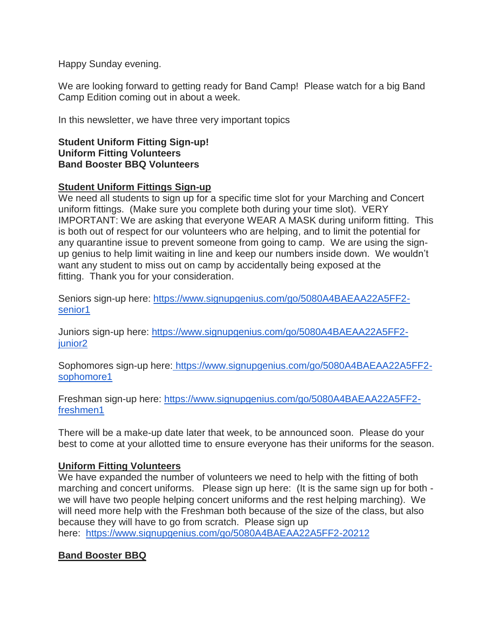Happy Sunday evening.

We are looking forward to getting ready for Band Camp! Please watch for a big Band Camp Edition coming out in about a week.

In this newsletter, we have three very important topics

## **Student Uniform Fitting Sign-up! Uniform Fitting Volunteers Band Booster BBQ Volunteers**

## **Student Uniform Fittings Sign-up**

We need all students to sign up for a specific time slot for your Marching and Concert uniform fittings. (Make sure you complete both during your time slot). VERY IMPORTANT: We are asking that everyone WEAR A MASK during uniform fitting. This is both out of respect for our volunteers who are helping, and to limit the potential for any quarantine issue to prevent someone from going to camp. We are using the signup genius to help limit waiting in line and keep our numbers inside down. We wouldn't want any student to miss out on camp by accidentally being exposed at the fitting. Thank you for your consideration.

Seniors sign-up here: [https://www.signupgenius.com/go/5080A4BAEAA22A5FF2](https://www.signupgenius.com/go/5080A4BAEAA22A5FF2-senior1) [senior1](https://www.signupgenius.com/go/5080A4BAEAA22A5FF2-senior1)

Juniors sign-up here: [https://www.signupgenius.com/go/5080A4BAEAA22A5FF2](https://www.signupgenius.com/go/5080A4BAEAA22A5FF2-junior2) junior<sub>2</sub>

Sophomores sign-up here: [https://www.signupgenius.com/go/5080A4BAEAA22A5FF2](https://www.signupgenius.com/go/5080A4BAEAA22A5FF2-sophomore1) [sophomore1](https://www.signupgenius.com/go/5080A4BAEAA22A5FF2-sophomore1)

Freshman sign-up here: [https://www.signupgenius.com/go/5080A4BAEAA22A5FF2](https://www.signupgenius.com/go/5080A4BAEAA22A5FF2-freshmen1) [freshmen1](https://www.signupgenius.com/go/5080A4BAEAA22A5FF2-freshmen1)

There will be a make-up date later that week, to be announced soon. Please do your best to come at your allotted time to ensure everyone has their uniforms for the season.

## **Uniform Fitting Volunteers**

We have expanded the number of volunteers we need to help with the fitting of both marching and concert uniforms. Please sign up here: (It is the same sign up for both we will have two people helping concert uniforms and the rest helping marching). We will need more help with the Freshman both because of the size of the class, but also because they will have to go from scratch. Please sign up here: <https://www.signupgenius.com/go/5080A4BAEAA22A5FF2-20212>

## **Band Booster BBQ**